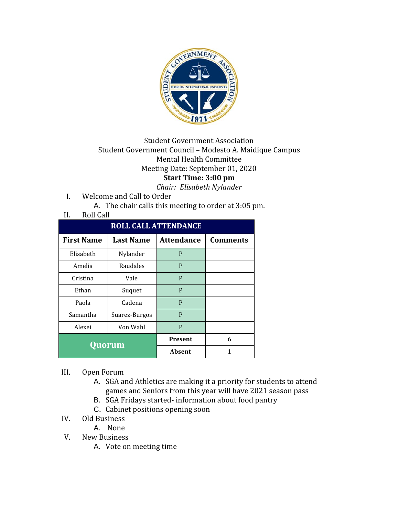

## Student Government Association Student Government Council – Modesto A. Maidique Campus Mental Health Committee Meeting Date: September 01, 2020 **Start Time: 3:00 pm**

*Chair: Elisabeth Nylander*

- I. Welcome and Call to Order
	- A. The chair calls this meeting to order at 3:05 pm.

## II. Roll Call

| <b>ROLL CALL ATTENDANCE</b> |                  |                   |                 |  |
|-----------------------------|------------------|-------------------|-----------------|--|
| <b>First Name</b>           | <b>Last Name</b> | <b>Attendance</b> | <b>Comments</b> |  |
| Elisabeth                   | Nylander         | P                 |                 |  |
| Amelia                      | Raudales         | P                 |                 |  |
| Cristina                    | Vale             | P                 |                 |  |
| Ethan                       | Suquet           | P                 |                 |  |
| Paola                       | Cadena           | P                 |                 |  |
| Samantha                    | Suarez-Burgos    | P                 |                 |  |
| Alexei                      | Von Wahl         | P                 |                 |  |
| Quorum                      |                  | <b>Present</b>    | 6               |  |
|                             |                  | Absent            |                 |  |

## III. Open Forum

- A. SGA and Athletics are making it a priority for students to attend games and Seniors from this year will have 2021 season pass
- B. SGA Fridays started- information about food pantry
- C. Cabinet positions opening soon
- IV. Old Business
	- A. None
- V. New Business
	- A. Vote on meeting time